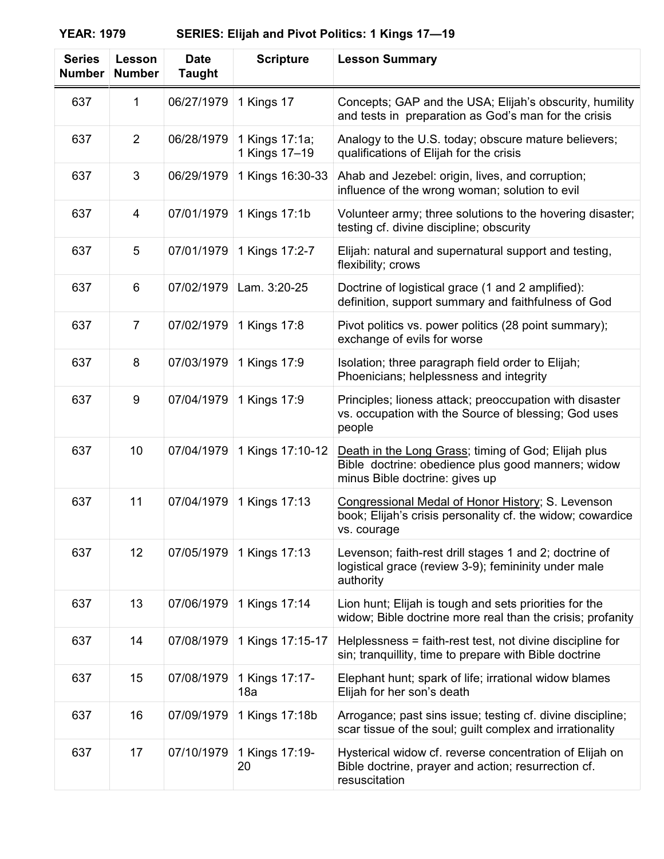| <b>Series</b><br><b>Number</b> | Lesson<br><b>Number</b> | <b>Date</b><br><b>Taught</b> | <b>Scripture</b>                | <b>Lesson Summary</b>                                                                                                                       |
|--------------------------------|-------------------------|------------------------------|---------------------------------|---------------------------------------------------------------------------------------------------------------------------------------------|
| 637                            | 1                       | 06/27/1979                   | 1 Kings 17                      | Concepts; GAP and the USA; Elijah's obscurity, humility<br>and tests in preparation as God's man for the crisis                             |
| 637                            | $\overline{2}$          | 06/28/1979                   | 1 Kings 17:1a;<br>1 Kings 17-19 | Analogy to the U.S. today; obscure mature believers;<br>qualifications of Elijah for the crisis                                             |
| 637                            | 3                       | 06/29/1979                   | 1 Kings 16:30-33                | Ahab and Jezebel: origin, lives, and corruption;<br>influence of the wrong woman; solution to evil                                          |
| 637                            | 4                       | 07/01/1979                   | 1 Kings 17:1b                   | Volunteer army; three solutions to the hovering disaster;<br>testing cf. divine discipline; obscurity                                       |
| 637                            | 5                       | 07/01/1979                   | 1 Kings 17:2-7                  | Elijah: natural and supernatural support and testing,<br>flexibility; crows                                                                 |
| 637                            | 6                       | 07/02/1979                   | Lam. 3:20-25                    | Doctrine of logistical grace (1 and 2 amplified):<br>definition, support summary and faithfulness of God                                    |
| 637                            | $\overline{7}$          | 07/02/1979                   | 1 Kings 17:8                    | Pivot politics vs. power politics (28 point summary);<br>exchange of evils for worse                                                        |
| 637                            | 8                       | 07/03/1979                   | 1 Kings 17:9                    | Isolation; three paragraph field order to Elijah;<br>Phoenicians; helplessness and integrity                                                |
| 637                            | 9                       | 07/04/1979                   | 1 Kings 17:9                    | Principles; lioness attack; preoccupation with disaster<br>vs. occupation with the Source of blessing; God uses<br>people                   |
| 637                            | 10                      | 07/04/1979                   | 1 Kings 17:10-12                | Death in the Long Grass; timing of God; Elijah plus<br>Bible doctrine: obedience plus good manners; widow<br>minus Bible doctrine: gives up |
| 637                            | 11                      | 07/04/1979                   | 1 Kings 17:13                   | Congressional Medal of Honor History; S. Levenson<br>book; Elijah's crisis personality cf. the widow; cowardice<br>vs. courage              |
| 637                            | 12                      | 07/05/1979                   | 1 Kings 17:13                   | Levenson; faith-rest drill stages 1 and 2; doctrine of<br>logistical grace (review 3-9); femininity under male<br>authority                 |
| 637                            | 13                      | 07/06/1979                   | 1 Kings 17:14                   | Lion hunt; Elijah is tough and sets priorities for the<br>widow; Bible doctrine more real than the crisis; profanity                        |
| 637                            | 14                      | 07/08/1979                   | 1 Kings 17:15-17                | Helplessness = faith-rest test, not divine discipline for<br>sin; tranquillity, time to prepare with Bible doctrine                         |
| 637                            | 15                      | 07/08/1979                   | 1 Kings 17:17-<br>18a           | Elephant hunt; spark of life; irrational widow blames<br>Elijah for her son's death                                                         |
| 637                            | 16                      | 07/09/1979                   | 1 Kings 17:18b                  | Arrogance; past sins issue; testing cf. divine discipline;<br>scar tissue of the soul; guilt complex and irrationality                      |
| 637                            | 17                      | 07/10/1979                   | 1 Kings 17:19-<br>20            | Hysterical widow cf. reverse concentration of Elijah on<br>Bible doctrine, prayer and action; resurrection cf.<br>resuscitation             |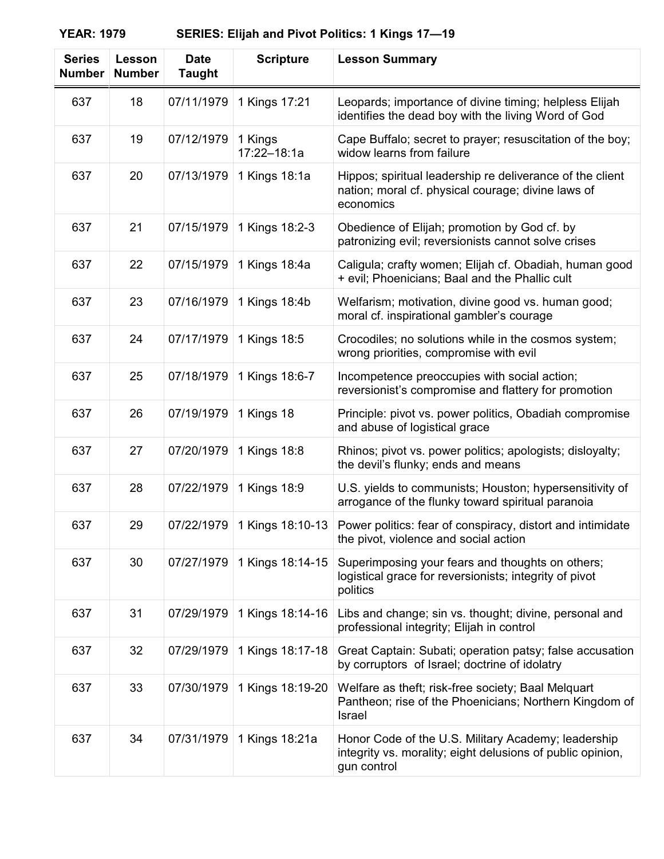| <b>Series</b><br><b>Number</b> | Lesson<br><b>Number</b> | <b>Date</b><br><b>Taught</b> | <b>Scripture</b>       | <b>Lesson Summary</b>                                                                                                            |
|--------------------------------|-------------------------|------------------------------|------------------------|----------------------------------------------------------------------------------------------------------------------------------|
| 637                            | 18                      | 07/11/1979                   | 1 Kings 17:21          | Leopards; importance of divine timing; helpless Elijah<br>identifies the dead boy with the living Word of God                    |
| 637                            | 19                      | 07/12/1979                   | 1 Kings<br>17:22-18:1a | Cape Buffalo; secret to prayer; resuscitation of the boy;<br>widow learns from failure                                           |
| 637                            | 20                      | 07/13/1979                   | 1 Kings 18:1a          | Hippos; spiritual leadership re deliverance of the client<br>nation; moral cf. physical courage; divine laws of<br>economics     |
| 637                            | 21                      | 07/15/1979                   | 1 Kings 18:2-3         | Obedience of Elijah; promotion by God cf. by<br>patronizing evil; reversionists cannot solve crises                              |
| 637                            | 22                      | 07/15/1979                   | 1 Kings 18:4a          | Caligula; crafty women; Elijah cf. Obadiah, human good<br>+ evil; Phoenicians; Baal and the Phallic cult                         |
| 637                            | 23                      | 07/16/1979                   | 1 Kings 18:4b          | Welfarism; motivation, divine good vs. human good;<br>moral cf. inspirational gambler's courage                                  |
| 637                            | 24                      | 07/17/1979                   | 1 Kings 18:5           | Crocodiles; no solutions while in the cosmos system;<br>wrong priorities, compromise with evil                                   |
| 637                            | 25                      | 07/18/1979                   | 1 Kings 18:6-7         | Incompetence preoccupies with social action;<br>reversionist's compromise and flattery for promotion                             |
| 637                            | 26                      | 07/19/1979                   | 1 Kings 18             | Principle: pivot vs. power politics, Obadiah compromise<br>and abuse of logistical grace                                         |
| 637                            | 27                      | 07/20/1979                   | 1 Kings 18:8           | Rhinos; pivot vs. power politics; apologists; disloyalty;<br>the devil's flunky; ends and means                                  |
| 637                            | 28                      | 07/22/1979                   | 1 Kings 18:9           | U.S. yields to communists; Houston; hypersensitivity of<br>arrogance of the flunky toward spiritual paranoia                     |
| 637                            | 29                      | 07/22/1979                   | 1 Kings 18:10-13       | Power politics: fear of conspiracy, distort and intimidate<br>the pivot, violence and social action                              |
| 637                            | 30                      | 07/27/1979                   | 1 Kings 18:14-15       | Superimposing your fears and thoughts on others;<br>logistical grace for reversionists; integrity of pivot<br>politics           |
| 637                            | 31                      | 07/29/1979                   | 1 Kings 18:14-16       | Libs and change; sin vs. thought; divine, personal and<br>professional integrity; Elijah in control                              |
| 637                            | 32                      | 07/29/1979                   | 1 Kings 18:17-18       | Great Captain: Subati; operation patsy; false accusation<br>by corruptors of Israel; doctrine of idolatry                        |
| 637                            | 33                      | 07/30/1979                   | 1 Kings 18:19-20       | Welfare as theft; risk-free society; Baal Melquart<br>Pantheon; rise of the Phoenicians; Northern Kingdom of<br>Israel           |
| 637                            | 34                      | 07/31/1979                   | 1 Kings 18:21a         | Honor Code of the U.S. Military Academy; leadership<br>integrity vs. morality; eight delusions of public opinion,<br>gun control |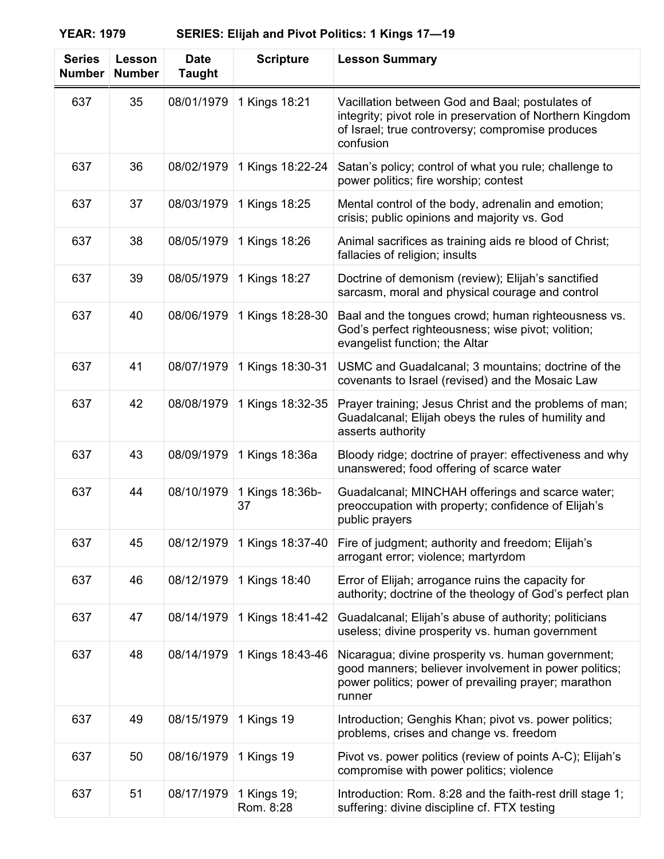| <b>Series</b><br><b>Number</b> | Lesson<br><b>Number</b> | <b>Date</b><br><b>Taught</b> | <b>Scripture</b>         | <b>Lesson Summary</b>                                                                                                                                                         |
|--------------------------------|-------------------------|------------------------------|--------------------------|-------------------------------------------------------------------------------------------------------------------------------------------------------------------------------|
| 637                            | 35                      | 08/01/1979                   | 1 Kings 18:21            | Vacillation between God and Baal; postulates of<br>integrity; pivot role in preservation of Northern Kingdom<br>of Israel; true controversy; compromise produces<br>confusion |
| 637                            | 36                      | 08/02/1979                   | 1 Kings 18:22-24         | Satan's policy; control of what you rule; challenge to<br>power politics; fire worship; contest                                                                               |
| 637                            | 37                      | 08/03/1979                   | 1 Kings 18:25            | Mental control of the body, adrenalin and emotion;<br>crisis; public opinions and majority vs. God                                                                            |
| 637                            | 38                      | 08/05/1979                   | 1 Kings 18:26            | Animal sacrifices as training aids re blood of Christ;<br>fallacies of religion; insults                                                                                      |
| 637                            | 39                      | 08/05/1979                   | 1 Kings 18:27            | Doctrine of demonism (review); Elijah's sanctified<br>sarcasm, moral and physical courage and control                                                                         |
| 637                            | 40                      | 08/06/1979                   | 1 Kings 18:28-30         | Baal and the tongues crowd; human righteousness vs.<br>God's perfect righteousness; wise pivot; volition;<br>evangelist function; the Altar                                   |
| 637                            | 41                      | 08/07/1979                   | 1 Kings 18:30-31         | USMC and Guadalcanal; 3 mountains; doctrine of the<br>covenants to Israel (revised) and the Mosaic Law                                                                        |
| 637                            | 42                      | 08/08/1979                   | 1 Kings 18:32-35         | Prayer training; Jesus Christ and the problems of man;<br>Guadalcanal; Elijah obeys the rules of humility and<br>asserts authority                                            |
| 637                            | 43                      | 08/09/1979                   | 1 Kings 18:36a           | Bloody ridge; doctrine of prayer: effectiveness and why<br>unanswered; food offering of scarce water                                                                          |
| 637                            | 44                      | 08/10/1979                   | 1 Kings 18:36b-<br>37    | Guadalcanal; MINCHAH offerings and scarce water;<br>preoccupation with property; confidence of Elijah's<br>public prayers                                                     |
| 637                            | 45                      | 08/12/1979                   | 1 Kings 18:37-40         | Fire of judgment; authority and freedom; Elijah's<br>arrogant error; violence; martyrdom                                                                                      |
| 637                            | 46                      | 08/12/1979                   | 1 Kings 18:40            | Error of Elijah; arrogance ruins the capacity for<br>authority; doctrine of the theology of God's perfect plan                                                                |
| 637                            | 47                      | 08/14/1979                   | 1 Kings 18:41-42         | Guadalcanal; Elijah's abuse of authority; politicians<br>useless; divine prosperity vs. human government                                                                      |
| 637                            | 48                      | 08/14/1979                   | 1 Kings 18:43-46         | Nicaragua; divine prosperity vs. human government;<br>good manners; believer involvement in power politics;<br>power politics; power of prevailing prayer; marathon<br>runner |
| 637                            | 49                      | 08/15/1979                   | 1 Kings 19               | Introduction; Genghis Khan; pivot vs. power politics;<br>problems, crises and change vs. freedom                                                                              |
| 637                            | 50                      | 08/16/1979                   | 1 Kings 19               | Pivot vs. power politics (review of points A-C); Elijah's<br>compromise with power politics; violence                                                                         |
| 637                            | 51                      | 08/17/1979                   | 1 Kings 19;<br>Rom. 8:28 | Introduction: Rom. 8:28 and the faith-rest drill stage 1;<br>suffering: divine discipline cf. FTX testing                                                                     |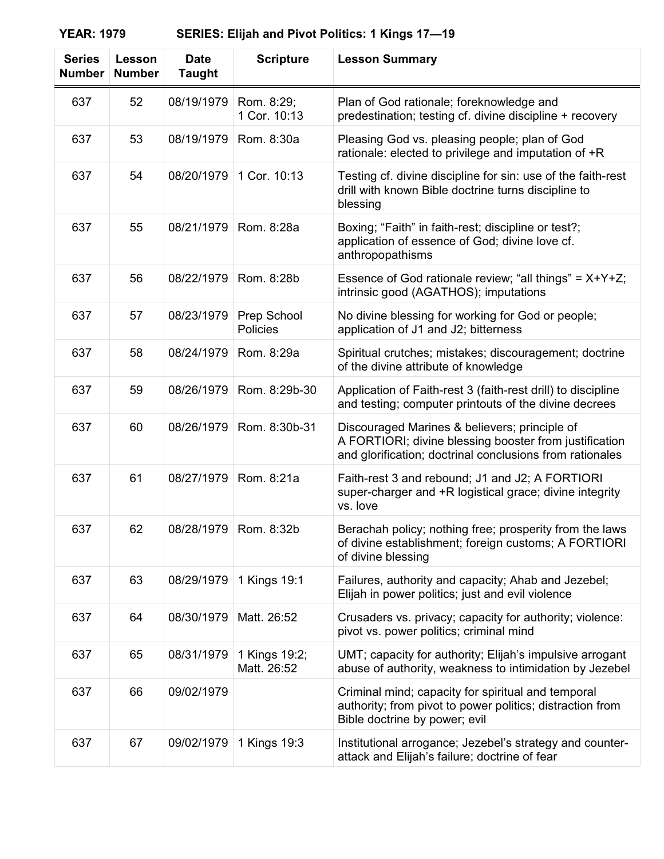| <b>Series</b><br><b>Number</b> | Lesson<br><b>Number</b> | <b>Date</b><br><b>Taught</b> | <b>Scripture</b>             | <b>Lesson Summary</b>                                                                                                                                               |
|--------------------------------|-------------------------|------------------------------|------------------------------|---------------------------------------------------------------------------------------------------------------------------------------------------------------------|
| 637                            | 52                      | 08/19/1979                   | Rom. 8:29;<br>1 Cor. 10:13   | Plan of God rationale; foreknowledge and<br>predestination; testing cf. divine discipline + recovery                                                                |
| 637                            | 53                      | 08/19/1979                   | Rom. 8:30a                   | Pleasing God vs. pleasing people; plan of God<br>rationale: elected to privilege and imputation of +R                                                               |
| 637                            | 54                      | 08/20/1979                   | 1 Cor. 10:13                 | Testing cf. divine discipline for sin: use of the faith-rest<br>drill with known Bible doctrine turns discipline to<br>blessing                                     |
| 637                            | 55                      | 08/21/1979                   | Rom. 8:28a                   | Boxing; "Faith" in faith-rest; discipline or test?;<br>application of essence of God; divine love cf.<br>anthropopathisms                                           |
| 637                            | 56                      | 08/22/1979                   | Rom. 8:28b                   | Essence of God rationale review; "all things" = $X+Y+Z$ ;<br>intrinsic good (AGATHOS); imputations                                                                  |
| 637                            | 57                      | 08/23/1979                   | Prep School<br>Policies      | No divine blessing for working for God or people;<br>application of J1 and J2; bitterness                                                                           |
| 637                            | 58                      | 08/24/1979                   | Rom. 8:29a                   | Spiritual crutches; mistakes; discouragement; doctrine<br>of the divine attribute of knowledge                                                                      |
| 637                            | 59                      | 08/26/1979                   | Rom. 8:29b-30                | Application of Faith-rest 3 (faith-rest drill) to discipline<br>and testing; computer printouts of the divine decrees                                               |
| 637                            | 60                      | 08/26/1979                   | Rom. 8:30b-31                | Discouraged Marines & believers; principle of<br>A FORTIORI; divine blessing booster from justification<br>and glorification; doctrinal conclusions from rationales |
| 637                            | 61                      | 08/27/1979                   | Rom. 8:21a                   | Faith-rest 3 and rebound; J1 and J2; A FORTIORI<br>super-charger and +R logistical grace; divine integrity<br>vs. love                                              |
| 637                            | 62                      | 08/28/1979                   | Rom. 8:32b                   | Berachah policy; nothing free; prosperity from the laws<br>of divine establishment; foreign customs; A FORTIORI<br>of divine blessing                               |
| 637                            | 63                      | 08/29/1979                   | 1 Kings 19:1                 | Failures, authority and capacity; Ahab and Jezebel;<br>Elijah in power politics; just and evil violence                                                             |
| 637                            | 64                      | 08/30/1979                   | Matt. 26:52                  | Crusaders vs. privacy; capacity for authority; violence:<br>pivot vs. power politics; criminal mind                                                                 |
| 637                            | 65                      | 08/31/1979                   | 1 Kings 19:2;<br>Matt. 26:52 | UMT; capacity for authority; Elijah's impulsive arrogant<br>abuse of authority, weakness to intimidation by Jezebel                                                 |
| 637                            | 66                      | 09/02/1979                   |                              | Criminal mind; capacity for spiritual and temporal<br>authority; from pivot to power politics; distraction from<br>Bible doctrine by power; evil                    |
| 637                            | 67                      | 09/02/1979                   | 1 Kings 19:3                 | Institutional arrogance; Jezebel's strategy and counter-<br>attack and Elijah's failure; doctrine of fear                                                           |